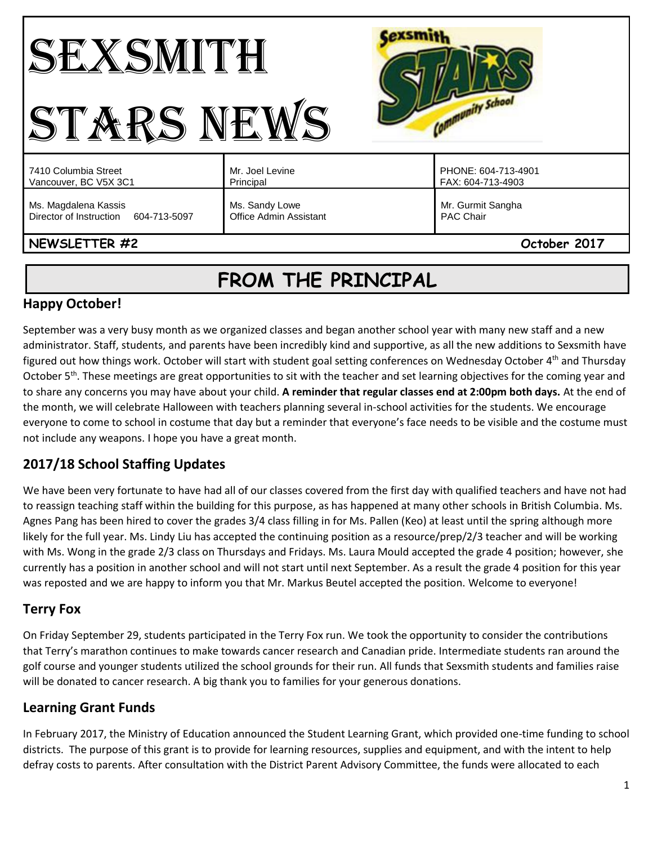#### **Cexsmith** SEXSMITH Community School STARS NEWS PHONE: 604-713-4901 7410 Columbia Street Mr. Joel Levine Vancouver, BC V5X 3C1 Principal FAX: 604-713-4903 Ms. Magdalena Kassis Ms. Sandy Lowe Mr. Gurmit Sangha Director of Instruction 604-713-5097 Office Admin Assistant PAC Chair **NEWSLETTER #2 October 2017**

# **FROM THE PRINCIPAL**

# **Happy October!**

September was a very busy month as we organized classes and began another school year with many new staff and a new administrator. Staff, students, and parents have been incredibly kind and supportive, as all the new additions to Sexsmith have figured out how things work. October will start with student goal setting conferences on Wednesday October 4<sup>th</sup> and Thursday October  $5<sup>th</sup>$ . These meetings are great opportunities to sit with the teacher and set learning objectives for the coming year and to share any concerns you may have about your child. **A reminder that regular classes end at 2:00pm both days.** At the end of the month, we will celebrate Halloween with teachers planning several in-school activities for the students. We encourage everyone to come to school in costume that day but a reminder that everyone's face needs to be visible and the costume must not include any weapons. I hope you have a great month.

# **2017/18 School Staffing Updates**

We have been very fortunate to have had all of our classes covered from the first day with qualified teachers and have not had to reassign teaching staff within the building for this purpose, as has happened at many other schools in British Columbia. Ms. Agnes Pang has been hired to cover the grades 3/4 class filling in for Ms. Pallen (Keo) at least until the spring although more likely for the full year. Ms. Lindy Liu has accepted the continuing position as a resource/prep/2/3 teacher and will be working with Ms. Wong in the grade 2/3 class on Thursdays and Fridays. Ms. Laura Mould accepted the grade 4 position; however, she currently has a position in another school and will not start until next September. As a result the grade 4 position for this year was reposted and we are happy to inform you that Mr. Markus Beutel accepted the position. Welcome to everyone!

# **Terry Fox**

On Friday September 29, students participated in the Terry Fox run. We took the opportunity to consider the contributions that Terry's marathon continues to make towards cancer research and Canadian pride. Intermediate students ran around the golf course and younger students utilized the school grounds for their run. All funds that Sexsmith students and families raise will be donated to cancer research. A big thank you to families for your generous donations.

# **Learning Grant Funds**

In February 2017, the Ministry of Education announced the Student Learning Grant, which provided one-time funding to school districts. The purpose of this grant is to provide for learning resources, supplies and equipment, and with the intent to help defray costs to parents. After consultation with the District Parent Advisory Committee, the funds were allocated to each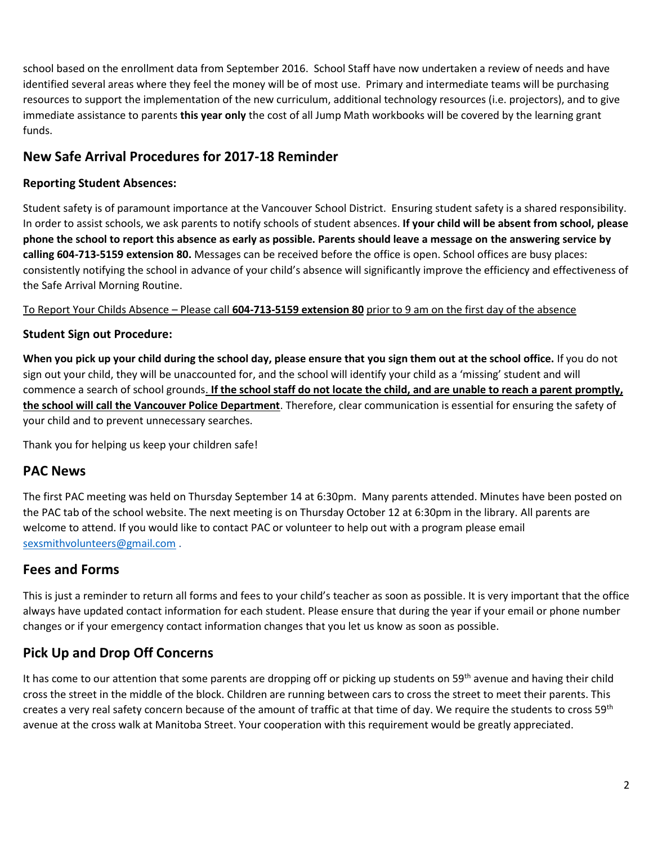school based on the enrollment data from September 2016. School Staff have now undertaken a review of needs and have identified several areas where they feel the money will be of most use. Primary and intermediate teams will be purchasing resources to support the implementation of the new curriculum, additional technology resources (i.e. projectors), and to give immediate assistance to parents **this year only** the cost of all Jump Math workbooks will be covered by the learning grant funds.

## **New Safe Arrival Procedures for 2017-18 Reminder**

#### **Reporting Student Absences:**

Student safety is of paramount importance at the Vancouver School District. Ensuring student safety is a shared responsibility. In order to assist schools, we ask parents to notify schools of student absences. **If your child will be absent from school, please phone the school to report this absence as early as possible. Parents should leave a message on the answering service by calling 604-713-5159 extension 80.** Messages can be received before the office is open. School offices are busy places: consistently notifying the school in advance of your child's absence will significantly improve the efficiency and effectiveness of the Safe Arrival Morning Routine.

To Report Your Childs Absence – Please call **604-713-5159 extension 80** prior to 9 am on the first day of the absence

#### **Student Sign out Procedure:**

**When you pick up your child during the school day, please ensure that you sign them out at the school office.** If you do not sign out your child, they will be unaccounted for, and the school will identify your child as a 'missing' student and will commence a search of school grounds. **If the school staff do not locate the child, and are unable to reach a parent promptly, the school will call the Vancouver Police Department**. Therefore, clear communication is essential for ensuring the safety of your child and to prevent unnecessary searches.

Thank you for helping us keep your children safe!

## **PAC News**

The first PAC meeting was held on Thursday September 14 at 6:30pm. Many parents attended. Minutes have been posted on the PAC tab of the school website. The next meeting is on Thursday October 12 at 6:30pm in the library. All parents are welcome to attend. If you would like to contact PAC or volunteer to help out with a program please email [sexsmithvolunteers@gmail.com](mailto:sexsmithvolunteers@gmail.com) .

## **Fees and Forms**

This is just a reminder to return all forms and fees to your child's teacher as soon as possible. It is very important that the office always have updated contact information for each student. Please ensure that during the year if your email or phone number changes or if your emergency contact information changes that you let us know as soon as possible.

## **Pick Up and Drop Off Concerns**

It has come to our attention that some parents are dropping off or picking up students on 59<sup>th</sup> avenue and having their child cross the street in the middle of the block. Children are running between cars to cross the street to meet their parents. This creates a very real safety concern because of the amount of traffic at that time of day. We require the students to cross 59<sup>th</sup> avenue at the cross walk at Manitoba Street. Your cooperation with this requirement would be greatly appreciated.